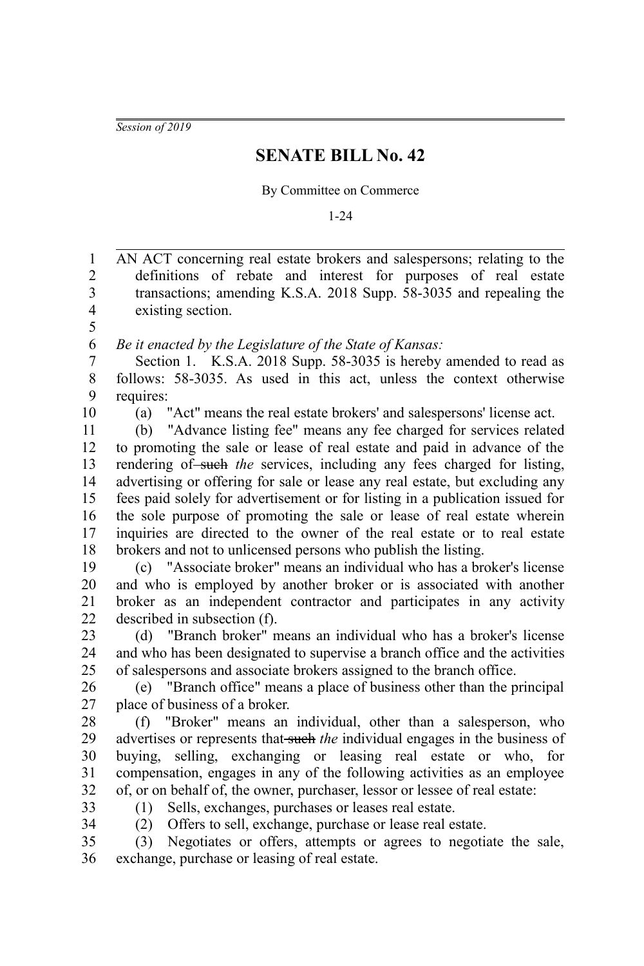*Session of 2019*

## **SENATE BILL No. 42**

By Committee on Commerce

1-24

AN ACT concerning real estate brokers and salespersons; relating to the definitions of rebate and interest for purposes of real estate transactions; amending K.S.A. 2018 Supp. 58-3035 and repealing the existing section. *Be it enacted by the Legislature of the State of Kansas:* Section 1. K.S.A. 2018 Supp. 58-3035 is hereby amended to read as follows: 58-3035. As used in this act, unless the context otherwise requires: (a) "Act" means the real estate brokers' and salespersons' license act. (b) "Advance listing fee" means any fee charged for services related to promoting the sale or lease of real estate and paid in advance of the rendering of such the services, including any fees charged for listing, advertising or offering for sale or lease any real estate, but excluding any fees paid solely for advertisement or for listing in a publication issued for the sole purpose of promoting the sale or lease of real estate wherein inquiries are directed to the owner of the real estate or to real estate brokers and not to unlicensed persons who publish the listing. (c) "Associate broker" means an individual who has a broker's license and who is employed by another broker or is associated with another broker as an independent contractor and participates in any activity described in subsection (f). (d) "Branch broker" means an individual who has a broker's license and who has been designated to supervise a branch office and the activities of salespersons and associate brokers assigned to the branch office. (e) "Branch office" means a place of business other than the principal place of business of a broker. (f) "Broker" means an individual, other than a salesperson, who advertises or represents that such *the* individual engages in the business of buying, selling, exchanging or leasing real estate or who, for compensation, engages in any of the following activities as an employee of, or on behalf of, the owner, purchaser, lessor or lessee of real estate: (1) Sells, exchanges, purchases or leases real estate. (2) Offers to sell, exchange, purchase or lease real estate. (3) Negotiates or offers, attempts or agrees to negotiate the sale, exchange, purchase or leasing of real estate. 1 2 3 4 5 6 7 8 9 10 11 12 13 14 15 16 17 18 19 20 21 22 23 24 25 26 27 28  $29$ 30 31 32 33 34 35 36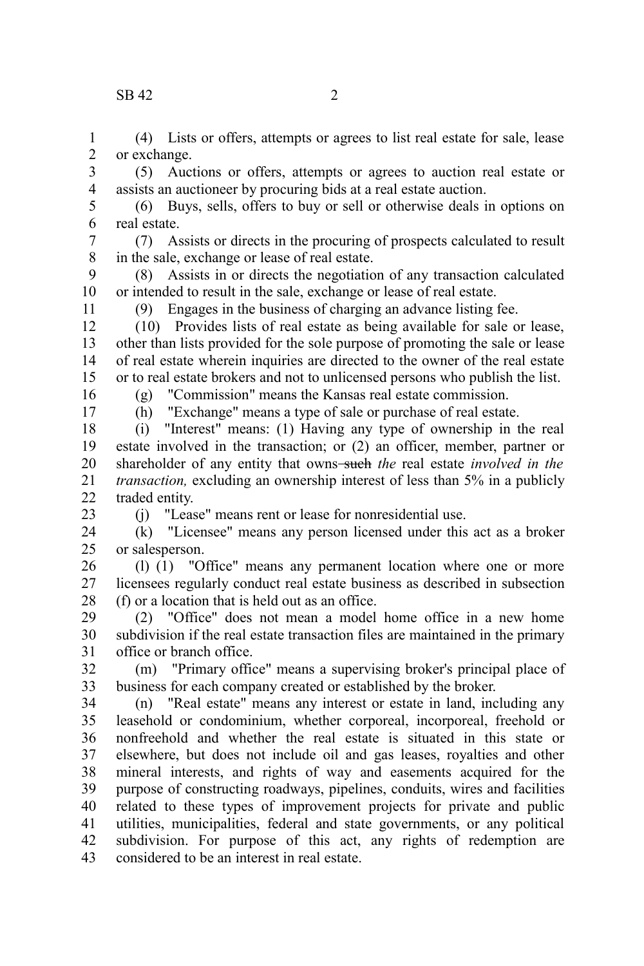## $\text{SR } 42$  2

(4) Lists or offers, attempts or agrees to list real estate for sale, lease or exchange. 1 2

(5) Auctions or offers, attempts or agrees to auction real estate or assists an auctioneer by procuring bids at a real estate auction. 3 4

(6) Buys, sells, offers to buy or sell or otherwise deals in options on real estate. 5 6

(7) Assists or directs in the procuring of prospects calculated to result in the sale, exchange or lease of real estate. 7 8

(8) Assists in or directs the negotiation of any transaction calculated or intended to result in the sale, exchange or lease of real estate. 9 10

(9) Engages in the business of charging an advance listing fee.

(10) Provides lists of real estate as being available for sale or lease, other than lists provided for the sole purpose of promoting the sale or lease of real estate wherein inquiries are directed to the owner of the real estate or to real estate brokers and not to unlicensed persons who publish the list. 12 13 14 15

(g) "Commission" means the Kansas real estate commission.

16 17

11

(h) "Exchange" means a type of sale or purchase of real estate.

(i) "Interest" means: (1) Having any type of ownership in the real estate involved in the transaction; or (2) an officer, member, partner or shareholder of any entity that owns-such the real estate *involved in the transaction,* excluding an ownership interest of less than 5% in a publicly traded entity. 18 19 20 21  $22$ 

23

(j) "Lease" means rent or lease for nonresidential use.

(k) "Licensee" means any person licensed under this act as a broker or salesperson. 24 25

(l) (1) "Office" means any permanent location where one or more licensees regularly conduct real estate business as described in subsection (f) or a location that is held out as an office. 26 27 28

(2) "Office" does not mean a model home office in a new home subdivision if the real estate transaction files are maintained in the primary office or branch office. 29 30 31

(m) "Primary office" means a supervising broker's principal place of business for each company created or established by the broker. 32 33

(n) "Real estate" means any interest or estate in land, including any leasehold or condominium, whether corporeal, incorporeal, freehold or nonfreehold and whether the real estate is situated in this state or elsewhere, but does not include oil and gas leases, royalties and other mineral interests, and rights of way and easements acquired for the purpose of constructing roadways, pipelines, conduits, wires and facilities related to these types of improvement projects for private and public utilities, municipalities, federal and state governments, or any political subdivision. For purpose of this act, any rights of redemption are considered to be an interest in real estate. 34 35 36 37 38 39 40 41 42 43